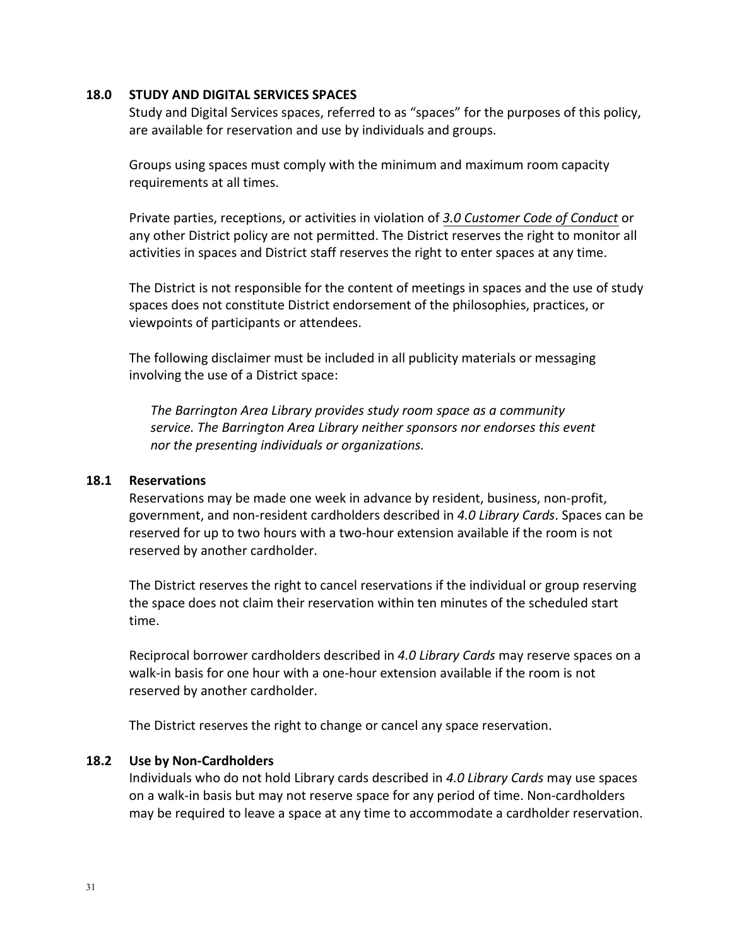#### **18.0 STUDY AND DIGITAL SERVICES SPACES**

Study and Digital Services spaces, referred to as "spaces" for the purposes of this policy, are available for reservation and use by individuals and groups.

Groups using spaces must comply with the minimum and maximum room capacity requirements at all times.

Private parties, receptions, or activities in violation of *3.0 Customer [Code of Conduct](https://balibrary.org/images/pdf/CustomerCodeofConduct.pdf)* or any other District policy are not permitted. The District reserves the right to monitor all activities in spaces and District staff reserves the right to enter spaces at any time.

The District is not responsible for the content of meetings in spaces and the use of study spaces does not constitute District endorsement of the philosophies, practices, or viewpoints of participants or attendees.

The following disclaimer must be included in all publicity materials or messaging involving the use of a District space:

*The Barrington Area Library provides study room space as a community service. The Barrington Area Library neither sponsors nor endorses this event nor the presenting individuals or organizations.*

#### **18.1 Reservations**

Reservations may be made one week in advance by resident, business, non-profit, government, and non-resident cardholders described in *4.0 Library Cards*. Spaces can be reserved for up to two hours with a two-hour extension available if the room is not reserved by another cardholder.

The District reserves the right to cancel reservations if the individual or group reserving the space does not claim their reservation within ten minutes of the scheduled start time.

Reciprocal borrower cardholders described in *4.0 Library Cards* may reserve spaces on a walk-in basis for one hour with a one-hour extension available if the room is not reserved by another cardholder.

The District reserves the right to change or cancel any space reservation.

### **18.2 Use by Non-Cardholders**

Individuals who do not hold Library cards described in *4.0 Library Cards* may use spaces on a walk-in basis but may not reserve space for any period of time. Non-cardholders may be required to leave a space at any time to accommodate a cardholder reservation.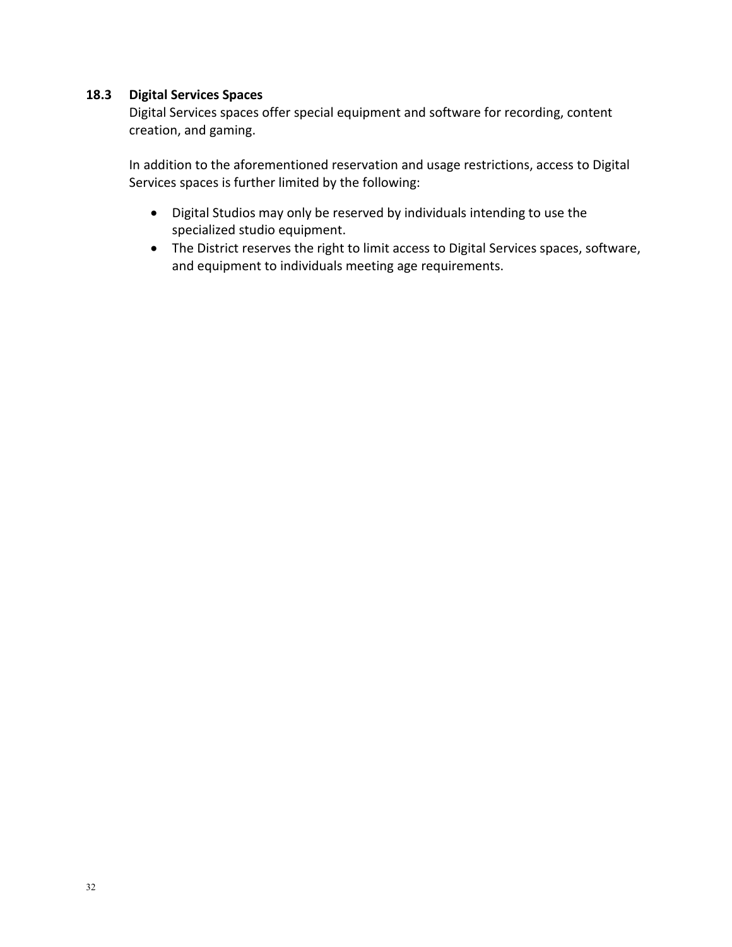## **18.3 Digital Services Spaces**

Digital Services spaces offer special equipment and software for recording, content creation, and gaming.

In addition to the aforementioned reservation and usage restrictions, access to Digital Services spaces is further limited by the following:

- Digital Studios may only be reserved by individuals intending to use the specialized studio equipment.
- The District reserves the right to limit access to Digital Services spaces, software, and equipment to individuals meeting age requirements.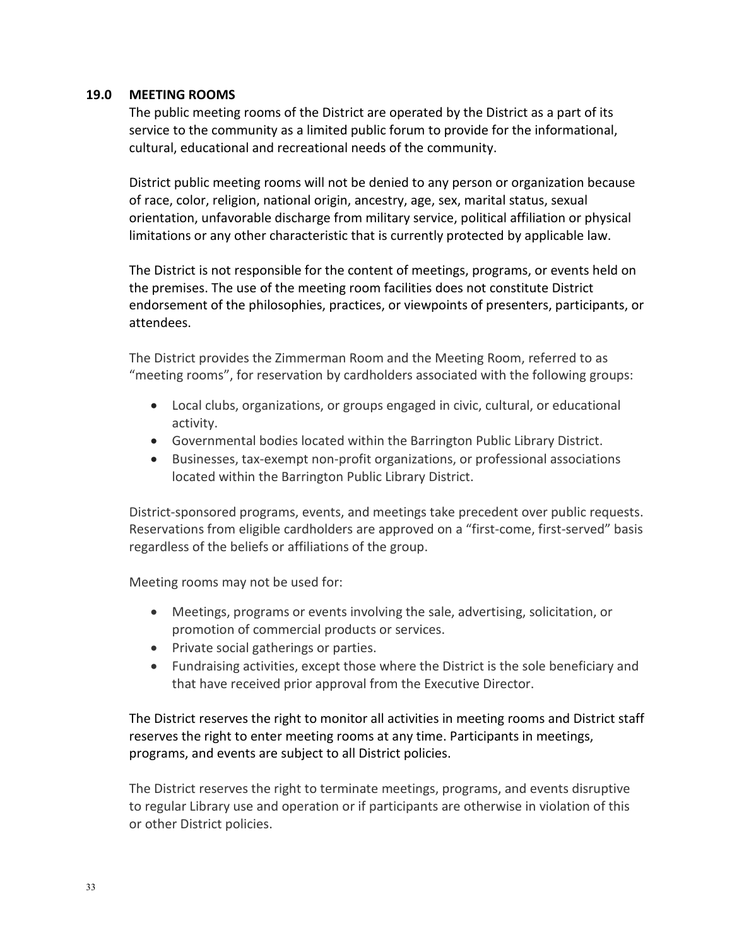### **19.0 MEETING ROOMS**

The public meeting rooms of the District are operated by the District as a part of its service to the community as a limited public forum to provide for the informational, cultural, educational and recreational needs of the community.

District public meeting rooms will not be denied to any person or organization because of race, color, religion, national origin, ancestry, age, sex, marital status, sexual orientation, unfavorable discharge from military service, political affiliation or physical limitations or any other characteristic that is currently protected by applicable law.

The District is not responsible for the content of meetings, programs, or events held on the premises. The use of the meeting room facilities does not constitute District endorsement of the philosophies, practices, or viewpoints of presenters, participants, or attendees.

The District provides the Zimmerman Room and the Meeting Room, referred to as "meeting rooms", for reservation by cardholders associated with the following groups:

- Local clubs, organizations, or groups engaged in civic, cultural, or educational activity.
- Governmental bodies located within the Barrington Public Library District.
- Businesses, tax-exempt non-profit organizations, or professional associations located within the Barrington Public Library District.

District-sponsored programs, events, and meetings take precedent over public requests. Reservations from eligible cardholders are approved on a "first-come, first-served" basis regardless of the beliefs or affiliations of the group.

Meeting rooms may not be used for:

- Meetings, programs or events involving the sale, advertising, solicitation, or promotion of commercial products or services.
- Private social gatherings or parties.
- Fundraising activities, except those where the District is the sole beneficiary and that have received prior approval from the Executive Director.

The District reserves the right to monitor all activities in meeting rooms and District staff reserves the right to enter meeting rooms at any time. Participants in meetings, programs, and events are subject to all District policies.

The District reserves the right to terminate meetings, programs, and events disruptive to regular Library use and operation or if participants are otherwise in violation of this or other District policies.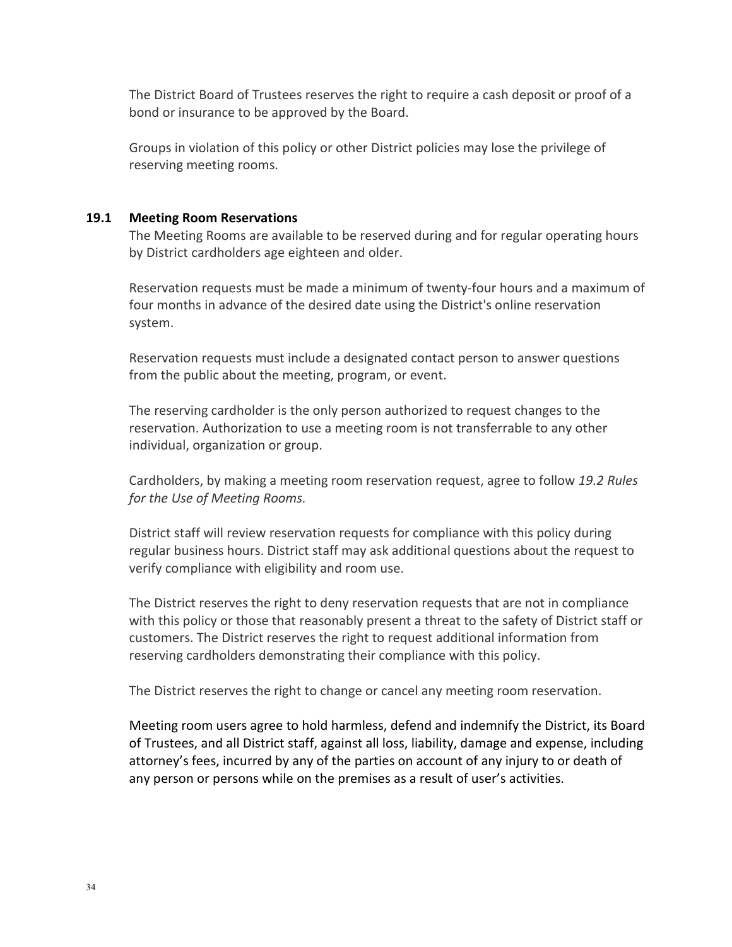The District Board of Trustees reserves the right to require a cash deposit or proof of a bond or insurance to be approved by the Board.

Groups in violation of this policy or other District policies may lose the privilege of reserving meeting rooms.

#### **19.1 Meeting Room Reservations**

The Meeting Rooms are available to be reserved during and for regular operating hours by District cardholders age eighteen and older.

Reservation requests must be made a minimum of twenty-four hours and a maximum of four months in advance of the desired date using the District's online reservation system.

Reservation requests must include a designated contact person to answer questions from the public about the meeting, program, or event.

The reserving cardholder is the only person authorized to request changes to the reservation. Authorization to use a meeting room is not transferrable to any other individual, organization or group.

Cardholders, by making a meeting room reservation request, agree to follow *19.2 Rules for the Use of Meeting Rooms.*

District staff will review reservation requests for compliance with this policy during regular business hours. District staff may ask additional questions about the request to verify compliance with eligibility and room use.

The District reserves the right to deny reservation requests that are not in compliance with this policy or those that reasonably present a threat to the safety of District staff or customers. The District reserves the right to request additional information from reserving cardholders demonstrating their compliance with this policy.

The District reserves the right to change or cancel any meeting room reservation.

Meeting room users agree to hold harmless, defend and indemnify the District, its Board of Trustees, and all District staff, against all loss, liability, damage and expense, including attorney's fees, incurred by any of the parties on account of any injury to or death of any person or persons while on the premises as a result of user's activities.